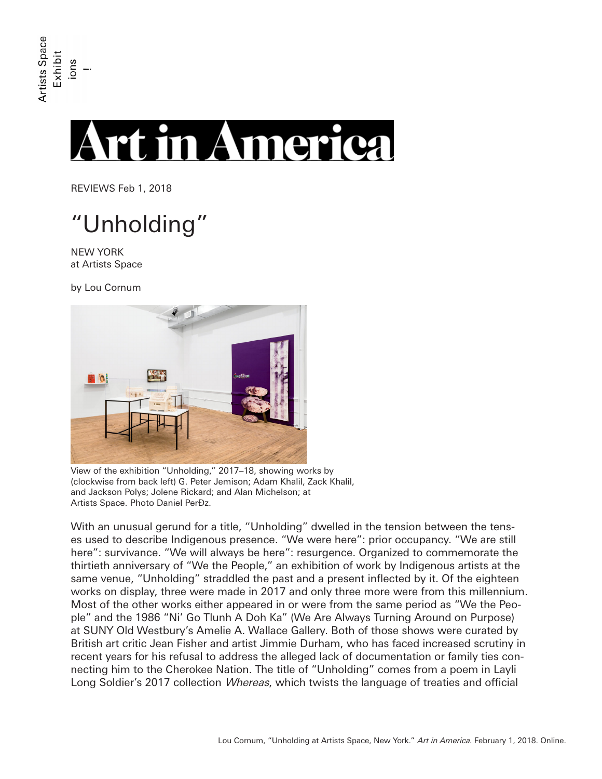## **t in America**

REVIEWS Feb 1, 2018

## "Unholding"

NEW YORK at Artists Space

by Lou Cornum



View of the exhibition "Unholding," 2017–18, showing works by (clockwise from back left) G. Peter Jemison; Adam Khalil, Zack Khalil, and Jackson Polys; Jolene Rickard; and Alan Michelson; at Artists Space. Photo Daniel PerĐz.

With an unusual gerund for a title, "Unholding" dwelled in the tension between the tenses used to describe Indigenous presence. "We were here": prior occupancy. "We are still here": survivance. "We will always be here": resurgence. Organized to commemorate the thirtieth anniversary of "We the People," an exhibition of work by Indigenous artists at the same venue, "Unholding" straddled the past and a present inflected by it. Of the eighteen works on display, three were made in 2017 and only three more were from this millennium. Most of the other works either appeared in or were from the same period as "We the People" and the 1986 "Ni' Go Tlunh A Doh Ka" (We Are Always Turning Around on Purpose) at SUNY Old Westbury's Amelie A. Wallace Gallery. Both of those shows were curated by British art critic Jean Fisher and artist Jimmie Durham, who has faced increased scrutiny in recent years for his refusal to address the alleged lack of documentation or family ties connecting him to the Cherokee Nation. The title of "Unholding" comes from a poem in Layli Long Soldier's 2017 collection *Whereas*, which twists the language of treaties and official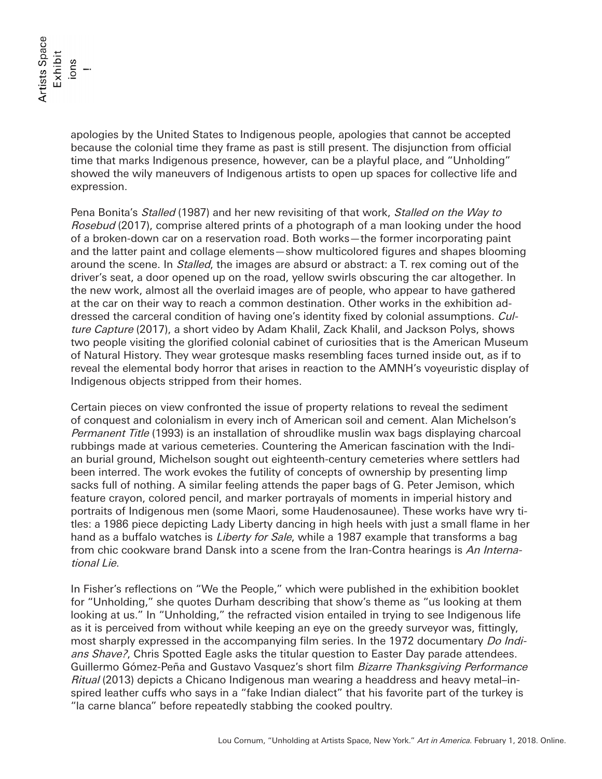apologies by the United States to Indigenous people, apologies that cannot be accepted because the colonial time they frame as past is still present. The disjunction from official time that marks Indigenous presence, however, can be a playful place, and "Unholding" showed the wily maneuvers of Indigenous artists to open up spaces for collective life and expression.

Pena Bonita's Stalled (1987) and her new revisiting of that work, Stalled on the Way to Rosebud (2017), comprise altered prints of a photograph of a man looking under the hood of a broken-down car on a reservation road. Both works—the former incorporating paint and the latter paint and collage elements—show multicolored figures and shapes blooming around the scene. In Stalled, the images are absurd or abstract: a T. rex coming out of the driver's seat, a door opened up on the road, yellow swirls obscuring the car altogether. In the new work, almost all the overlaid images are of people, who appear to have gathered at the car on their way to reach a common destination. Other works in the exhibition addressed the carceral condition of having one's identity fixed by colonial assumptions. Culture Capture (2017), a short video by Adam Khalil, Zack Khalil, and Jackson Polys, shows two people visiting the glorified colonial cabinet of curiosities that is the American Museum of Natural History. They wear grotesque masks resembling faces turned inside out, as if to reveal the elemental body horror that arises in reaction to the AMNH's voyeuristic display of Indigenous objects stripped from their homes.

Certain pieces on view confronted the issue of property relations to reveal the sediment of conquest and colonialism in every inch of American soil and cement. Alan Michelson's Permanent Title (1993) is an installation of shroudlike muslin wax bags displaying charcoal rubbings made at various cemeteries. Countering the American fascination with the Indian burial ground, Michelson sought out eighteenth-century cemeteries where settlers had been interred. The work evokes the futility of concepts of ownership by presenting limp sacks full of nothing. A similar feeling attends the paper bags of G. Peter Jemison, which feature crayon, colored pencil, and marker portrayals of moments in imperial history and portraits of Indigenous men (some Maori, some Haudenosaunee). These works have wry titles: a 1986 piece depicting Lady Liberty dancing in high heels with just a small flame in her hand as a buffalo watches is *Liberty for Sale*, while a 1987 example that transforms a bag from chic cookware brand Dansk into a scene from the Iran-Contra hearings is An International Lie.

In Fisher's reflections on "We the People," which were published in the exhibition booklet for "Unholding," she quotes Durham describing that show's theme as "us looking at them looking at us." In "Unholding," the refracted vision entailed in trying to see Indigenous life as it is perceived from without while keeping an eye on the greedy surveyor was, fittingly, most sharply expressed in the accompanying film series. In the 1972 documentary *Do Indi*ans Shave?, Chris Spotted Eagle asks the titular question to Easter Day parade attendees. Guillermo Gómez-Peña and Gustavo Vasquez's short film Bizarre Thanksgiving Performance Ritual (2013) depicts a Chicano Indigenous man wearing a headdress and heavy metal–inspired leather cuffs who says in a "fake Indian dialect" that his favorite part of the turkey is "la carne blanca" before repeatedly stabbing the cooked poultry.